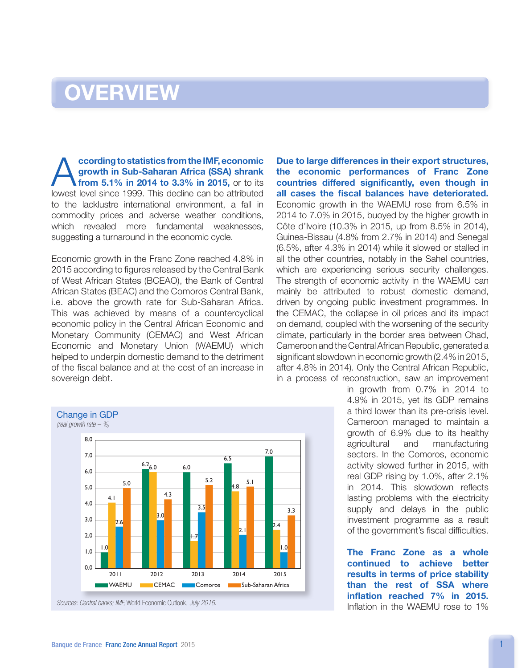## **OVERVIEW**

**According to statistics from the IMF, economic growth in Sub-Saharan Africa (SSA) shrank**<br>**from 5.1% in 2014 to 3.3% in 2015,** or to its lowest lovel since 1000. This decline can be attributed growth in Sub-Saharan Africa (SSA) shrank lowest level since 1999. This decline can be attributed to the lacklustre international environment, a fall in commodity prices and adverse weather conditions, which revealed more fundamental weaknesses, suggesting a turnaround in the economic cycle.

Economic growth in the Franc Zone reached 4.8% in 2015 according to figures released by the Central Bank of West African States (BCEAO), the Bank of Central African States (BEAC) and the Comoros Central Bank, i.e. above the growth rate for Sub-Saharan Africa. This was achieved by means of a countercyclical economic policy in the Central African Economic and Monetary Community (CEMAC) and West African Economic and Monetary Union (WAEMU) which helped to underpin domestic demand to the detriment of the fiscal balance and at the cost of an increase in sovereign debt.



Due to large differences in their export structures, the economic performances of Franc Zone countries differed significantly, even though in all cases the fiscal balances have deteriorated. Economic growth in the WAEMU rose from 6.5% in 2014 to 7.0% in 2015, buoyed by the higher growth in Côte d'Ivoire (10.3% in 2015, up from 8.5% in 2014), Guinea-Bissau (4.8% from 2.7% in 2014) and Senegal (6.5%, after 4.3% in 2014) while it slowed or stalled in all the other countries, notably in the Sahel countries, which are experiencing serious security challenges. The strength of economic activity in the WAEMU can mainly be attributed to robust domestic demand, driven by ongoing public investment programmes. In the CEMAC, the collapse in oil prices and its impact on demand, coupled with the worsening of the security climate, particularly in the border area between Chad, Cameroon and the Central African Republic, generated a significant slowdown in economic growth (2.4% in 2015, after 4.8% in 2014). Only the Central African Republic, in a process of reconstruction, saw an improvement

> in growth from 0.7% in 2014 to 4.9% in 2015, yet its GDP remains a third lower than its pre-crisis level. Cameroon managed to maintain a growth of 6.9% due to its healthy agricultural and manufacturing sectors. In the Comoros, economic activity slowed further in 2015, with real GDP rising by 1.0%, after 2.1% in 2014. This slowdown reflects lasting problems with the electricity supply and delays in the public investment programme as a result of the government's fiscal difficulties.

The Franc Zone as a whole continued to achieve better results in terms of price stability than the rest of SSA where inflation reached 7% in 2015. Inflation in the WAEMU rose to 1%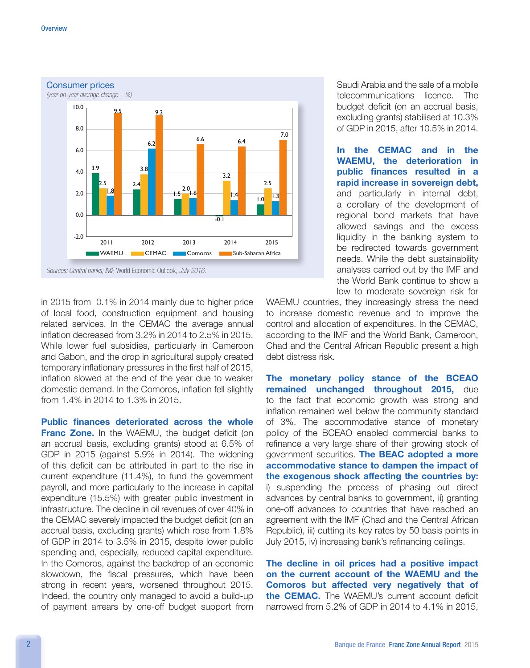

in 2015 from 0.1% in 2014 mainly due to higher price of local food, construction equipment and housing related services. In the CEMAC the average annual inflation decreased from 3.2% in 2014 to 2.5% in 2015. While lower fuel subsidies, particularly in Cameroon and Gabon, and the drop in agricultural supply created temporary inflationary pressures in the first half of 2015, inflation slowed at the end of the year due to weaker domestic demand. In the Comoros, inflation fell slightly from 1.4% in 2014 to 1.3% in 2015.

Public finances deteriorated across the whole Franc Zone. In the WAEMU, the budget deficit (on an accrual basis, excluding grants) stood at 6.5% of GDP in 2015 (against 5.9% in 2014). The widening of this deficit can be attributed in part to the rise in current expenditure (11.4%), to fund the government payroll, and more particularly to the increase in capital expenditure (15.5%) with greater public investment in infrastructure. The decline in oil revenues of over 40% in the CEMAC severely impacted the budget deficit (on an accrual basis, excluding grants) which rose from 1.8% of GDP in 2014 to 3.5% in 2015, despite lower public spending and, especially, reduced capital expenditure. In the Comoros, against the backdrop of an economic slowdown, the fiscal pressures, which have been strong in recent years, worsened throughout 2015. Indeed, the country only managed to avoid a build-up of payment arrears by one-off budget support from

Saudi Arabia and the sale of a mobile telecommunications licence. The budget deficit (on an accrual basis, excluding grants) stabilised at 10.3% of GDP in 2015, after 10.5% in 2014.

In the CEMAC and in the WAEMU, the deterioration in public finances resulted in a rapid increase in sovereign debt, and particularly in internal debt, a corollary of the development of regional bond markets that have allowed savings and the excess liquidity in the banking system to be redirected towards government needs. While the debt sustainability analyses carried out by the IMF and the World Bank continue to show a low to moderate sovereign risk for

WAEMU countries, they increasingly stress the need to increase domestic revenue and to improve the control and allocation of expenditures. In the CEMAC, according to the IMF and the World Bank, Cameroon, Chad and the Central African Republic present a high debt distress risk.

The monetary policy stance of the BCEAO remained unchanged throughout 2015, due to the fact that economic growth was strong and inflation remained well below the community standard of 3%. The accommodative stance of monetary policy of the BCEAO enabled commercial banks to refinance a very large share of their growing stock of government securities. The BEAC adopted a more accommodative stance to dampen the impact of the exogenous shock affecting the countries by: i) suspending the process of phasing out direct advances by central banks to government, ii) granting one-off advances to countries that have reached an agreement with the IMF (Chad and the Central African Republic), iii) cutting its key rates by 50 basis points in July 2015, iv) increasing bank's refinancing ceilings.

The decline in oil prices had a positive impact on the current account of the WAEMU and the Comoros but affected very negatively that of the CEMAC. The WAEMU's current account deficit narrowed from 5.2% of GDP in 2014 to 4.1% in 2015,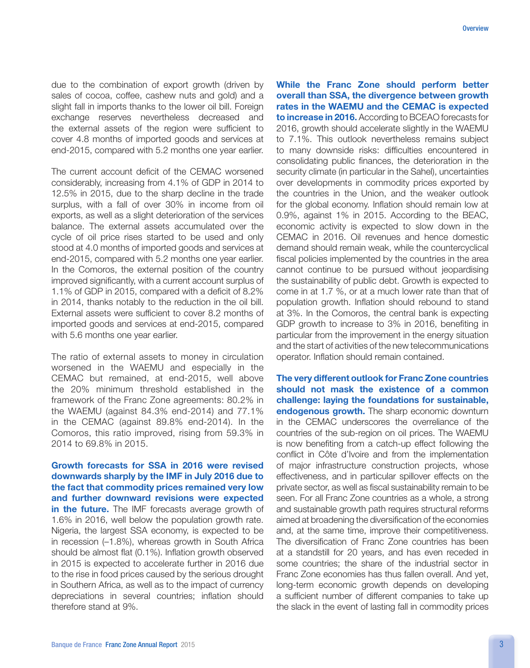due to the combination of export growth (driven by sales of cocoa, coffee, cashew nuts and gold) and a slight fall in imports thanks to the lower oil bill. Foreign exchange reserves nevertheless decreased and the external assets of the region were sufficient to cover 4.8 months of imported goods and services at end-2015, compared with 5.2 months one year earlier.

The current account deficit of the CEMAC worsened considerably, increasing from 4.1% of GDP in 2014 to 12.5% in 2015, due to the sharp decline in the trade surplus, with a fall of over 30% in income from oil exports, as well as a slight deterioration of the services balance. The external assets accumulated over the cycle of oil price rises started to be used and only stood at 4.0 months of imported goods and services at end-2015, compared with 5.2 months one year earlier. In the Comoros, the external position of the country improved significantly, with a current account surplus of 1.1% of GDP in 2015, compared with a deficit of 8.2% in 2014, thanks notably to the reduction in the oil bill. External assets were sufficient to cover 8.2 months of imported goods and services at end-2015, compared with 5.6 months one year earlier.

The ratio of external assets to money in circulation worsened in the WAEMU and especially in the CEMAC but remained, at end-2015, well above the 20% minimum threshold established in the framework of the Franc Zone agreements: 80.2% in the WAEMU (against 84.3% end-2014) and 77.1% in the CEMAC (against 89.8% end-2014). In the Comoros, this ratio improved, rising from 59.3% in 2014 to 69.8% in 2015.

Growth forecasts for SSA in 2016 were revised downwards sharply by the IMF in July 2016 due to the fact that commodity prices remained very low and further downward revisions were expected in the future. The IMF forecasts average growth of 1.6% in 2016, well below the population growth rate. Nigeria, the largest SSA economy, is expected to be in recession (–1.8%), whereas growth in South Africa should be almost flat (0.1%). Inflation growth observed in 2015 is expected to accelerate further in 2016 due to the rise in food prices caused by the serious drought in Southern Africa, as well as to the impact of currency depreciations in several countries; inflation should therefore stand at 9%.

While the Franc Zone should perform better overall than SSA, the divergence between growth rates in the WAEMU and the CEMAC is expected to increase in 2016. According to BCEAO forecasts for 2016, growth should accelerate slightly in the WAEMU to 7.1%. This outlook nevertheless remains subject to many downside risks: difficulties encountered in consolidating public finances, the deterioration in the security climate (in particular in the Sahel), uncertainties over developments in commodity prices exported by the countries in the Union, and the weaker outlook for the global economy. Inflation should remain low at 0.9%, against 1% in 2015. According to the BEAC, economic activity is expected to slow down in the CEMAC in 2016. Oil revenues and hence domestic demand should remain weak, while the countercyclical fiscal policies implemented by the countries in the area cannot continue to be pursued without jeopardising the sustainability of public debt. Growth is expected to come in at 1.7 %, or at a much lower rate than that of population growth. Inflation should rebound to stand at 3%. In the Comoros, the central bank is expecting GDP growth to increase to 3% in 2016, benefiting in particular from the improvement in the energy situation and the start of activities of the new telecommunications operator. Inflation should remain contained.

The very different outlook for Franc Zone countries should not mask the existence of a common challenge: laying the foundations for sustainable, endogenous growth. The sharp economic downturn in the CEMAC underscores the overreliance of the countries of the sub-region on oil prices. The WAEMU is now benefiting from a catch-up effect following the conflict in Côte d'Ivoire and from the implementation of major infrastructure construction projects, whose effectiveness, and in particular spillover effects on the private sector, as well as fiscal sustainability remain to be seen. For all Franc Zone countries as a whole, a strong and sustainable growth path requires structural reforms aimed at broadening the diversification of the economies and, at the same time, improve their competitiveness. The diversification of Franc Zone countries has been at a standstill for 20 years, and has even receded in some countries; the share of the industrial sector in Franc Zone economies has thus fallen overall. And yet, long-term economic growth depends on developing a sufficient number of different companies to take up the slack in the event of lasting fall in commodity prices